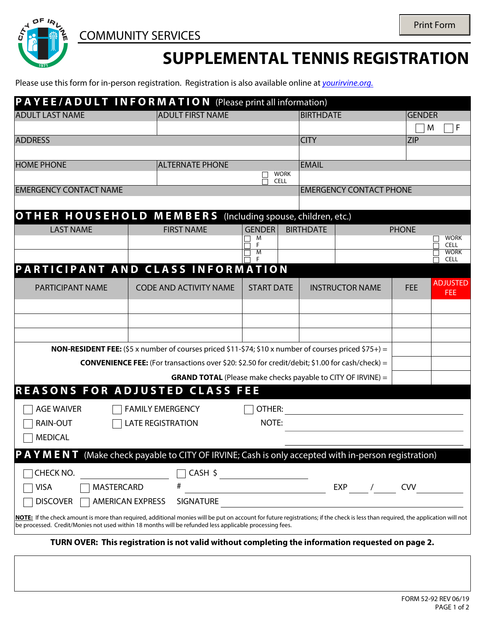

## **SUPPLEMENTAL TENNIS REGISTRATION**

Please use this form for in-person registration. Registration is also available online at *[yourirvine.org](http://www.yourirvine.org/)[.](http://www.irvinequickreg.org/)*

|                               | PAYEE/ADULT INFORMATION (Please print all information)                                                                                                                                                                                                                                      |                   |             |                  |                                |              |                            |  |
|-------------------------------|---------------------------------------------------------------------------------------------------------------------------------------------------------------------------------------------------------------------------------------------------------------------------------------------|-------------------|-------------|------------------|--------------------------------|--------------|----------------------------|--|
| <b>ADULT LAST NAME</b>        | <b>ADULT FIRST NAME</b>                                                                                                                                                                                                                                                                     |                   |             |                  | <b>BIRTHDATE</b>               |              | <b>GENDER</b>              |  |
|                               |                                                                                                                                                                                                                                                                                             |                   |             |                  |                                |              | M<br>F                     |  |
| <b>ADDRESS</b>                |                                                                                                                                                                                                                                                                                             |                   |             | <b>CITY</b>      |                                | <b>ZIP</b>   |                            |  |
|                               |                                                                                                                                                                                                                                                                                             |                   |             |                  |                                |              |                            |  |
| <b>HOME PHONE</b>             | <b>ALTERNATE PHONE</b>                                                                                                                                                                                                                                                                      |                   | <b>WORK</b> | <b>EMAIL</b>     |                                |              |                            |  |
|                               |                                                                                                                                                                                                                                                                                             | <b>CELL</b>       |             |                  | <b>EMERGENCY CONTACT PHONE</b> |              |                            |  |
| <b>EMERGENCY CONTACT NAME</b> |                                                                                                                                                                                                                                                                                             |                   |             |                  |                                |              |                            |  |
|                               | OTHER HOUSEHOLD MEMBERS (Including spouse, children, etc.)                                                                                                                                                                                                                                  |                   |             |                  |                                |              |                            |  |
| <b>LAST NAME</b>              | <b>FIRST NAME</b>                                                                                                                                                                                                                                                                           | <b>GENDER</b>     |             | <b>BIRTHDATE</b> |                                | <b>PHONE</b> |                            |  |
|                               |                                                                                                                                                                                                                                                                                             | M                 |             |                  |                                |              | <b>WORK</b>                |  |
|                               |                                                                                                                                                                                                                                                                                             | F<br>M            |             |                  |                                |              | <b>CELL</b><br><b>WORK</b> |  |
|                               | PARTICIPANT AND CLASS INFORMATION                                                                                                                                                                                                                                                           |                   |             |                  |                                |              | <b>CELL</b>                |  |
|                               |                                                                                                                                                                                                                                                                                             |                   |             |                  |                                |              | <b>ADJUSTED</b>            |  |
| <b>PARTICIPANT NAME</b>       | <b>CODE AND ACTIVITY NAME</b>                                                                                                                                                                                                                                                               | <b>START DATE</b> |             |                  | <b>INSTRUCTOR NAME</b>         | <b>FEE</b>   | <b>FEE</b>                 |  |
|                               |                                                                                                                                                                                                                                                                                             |                   |             |                  |                                |              |                            |  |
|                               |                                                                                                                                                                                                                                                                                             |                   |             |                  |                                |              |                            |  |
|                               |                                                                                                                                                                                                                                                                                             |                   |             |                  |                                |              |                            |  |
|                               | <b>NON-RESIDENT FEE:</b> (\$5 x number of courses priced \$11-\$74; \$10 x number of courses priced \$75+) =                                                                                                                                                                                |                   |             |                  |                                |              |                            |  |
|                               | <b>CONVENIENCE FEE:</b> (For transactions over \$20: \$2.50 for credit/debit; \$1.00 for cash/check) =                                                                                                                                                                                      |                   |             |                  |                                |              |                            |  |
|                               | <b>GRAND TOTAL</b> (Please make checks payable to CITY OF IRVINE) =                                                                                                                                                                                                                         |                   |             |                  |                                |              |                            |  |
|                               | <b>REASONS FOR ADJUSTED CLASS FEE</b>                                                                                                                                                                                                                                                       |                   |             |                  |                                |              |                            |  |
| <b>AGE WAIVER</b>             | <b>FAMILY EMERGENCY</b>                                                                                                                                                                                                                                                                     | OTHER:            |             |                  |                                |              |                            |  |
| <b>RAIN-OUT</b>               | <b>LATE REGISTRATION</b>                                                                                                                                                                                                                                                                    | NOTE:             |             |                  |                                |              |                            |  |
| <b>MEDICAL</b>                |                                                                                                                                                                                                                                                                                             |                   |             |                  |                                |              |                            |  |
|                               |                                                                                                                                                                                                                                                                                             |                   |             |                  |                                |              |                            |  |
|                               | P A Y M E N T (Make check payable to CITY OF IRVINE; Cash is only accepted with in-person registration)                                                                                                                                                                                     |                   |             |                  |                                |              |                            |  |
| CHECK NO.                     | CASH \$                                                                                                                                                                                                                                                                                     |                   |             |                  |                                |              |                            |  |
| <b>VISA</b><br>MASTERCARD     | #                                                                                                                                                                                                                                                                                           |                   |             |                  | <b>EXP</b>                     | <b>CVV</b>   |                            |  |
| <b>DISCOVER</b>               | <b>SIGNATURE</b><br><b>AMERICAN EXPRESS</b>                                                                                                                                                                                                                                                 |                   |             |                  |                                |              |                            |  |
|                               | NOTE: If the check amount is more than required, additional monies will be put on account for future registrations; if the check is less than required, the application will not<br>be processed. Credit/Monies not used within 18 months will be refunded less applicable processing fees. |                   |             |                  |                                |              |                            |  |
|                               | TURN OVER: This registration is not valid without completing the information requested on page 2.                                                                                                                                                                                           |                   |             |                  |                                |              |                            |  |